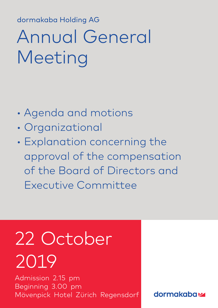dormakaba Holding AG dormakaba Holding AG

## Annual General Meeting

- Agenda and motions
- Organizational
- Explanation concerning the approval of the compensation of the Board of Directors and Executive Committee

# 22 October 2019

Admission 2.15 pm Beginning 3.00 pm Mövenpick Hotel Zürich Regensdorf

**dormakabazz**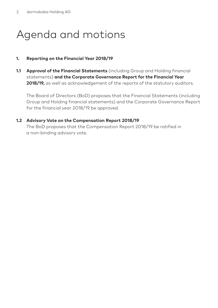### Agenda and motions

#### **1. Reporting on the Financial Year 2018/19**

**1.1 Approval of the Financial Statements** (including Group and Holding financial statements) **and the Corporate Governance Report for the Financial Year 2018/19,** as well as acknowledgement of the reports of the statutory auditors.

The Board of Directors (BoD) proposes that the Financial Statements (including Group and Holding financial statements) and the Corporate Governance Report for the financial year 2018/19 be approved.

#### **1.2 Advisory Vote on the Compensation Report 2018/19**

The BoD proposes that the Compensation Report 2018/19 be ratified in a non-binding advisory vote.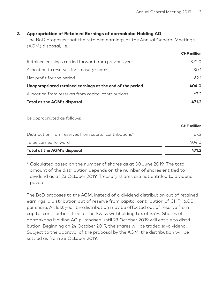#### **2. Appropriation of Retained Earnings of dormakaba Holding AG**

The BoD proposes that the retained earnings at the Annual General Meeting's (AGM) disposal, i.e.

|                                                           | CHF million |
|-----------------------------------------------------------|-------------|
| Retained earnings carried forward from previous year      | 372.0       |
| Allocation to reserves for treasury shares                | $-30.1$     |
| Net profit for the period                                 | 62.1        |
| Unappropriated retained earnings at the end of the period | 404.0       |
| Allocation from reserves from capital contributions       | 672         |
| Total at the AGM's disposal                               | 471.2       |

be appropriated as follows:

| Total at the AGM's disposal                            | 471.2              |
|--------------------------------------------------------|--------------------|
| To be carried forward                                  | 404 O              |
| Distribution from reserves from capital contributions* | 672                |
|                                                        | <b>CHF</b> million |

\* Calculated based on the number of shares as at 30 June 2019. The total amount of the distribution depends on the number of shares entitled to dividend as at 23 October 2019. Treasury shares are not entitled to dividend payout.

The BoD proposes to the AGM, instead of a dividend distribution out of retained earnings, a distribution out of reserve from capital contribution of CHF 16.00 per share. As last year the distribution may be effected out of reserve from capital contribution, free of the Swiss withholding tax of 35 %. Shares of dormakaba Holding AG purchased until 23 October 2019 will entitle to distribution. Beginning on 24 October 2019, the shares will be traded ex-dividend. Subject to the approval of the proposal by the AGM, the distribution will be settled as from 28 October 2019.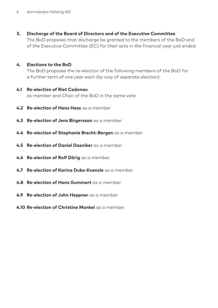**3. Discharge of the Board of Directors and of the Executive Committee** The BoD proposes that discharge be granted to the members of the BoD and

of the Executive Committee (EC) for their acts in the financial year just ended.

#### **4. Elections to the BoD**

The BoD proposes the re-election of the following members of the BoD for a further term of one year each (by way of separate election):

- **4.1 Re-election of Riet Cadonau**  as member and Chair of the BoD in the same vote
- **4.2 Re-election of Hans Hess** as a member
- **4.3 Re-election of Jens Birgersson** as a member
- **4.4 Re-election of Stephanie Brecht-Bergen** as a member
- **4.5 Re-election of Daniel Daeniker** as a member
- **4.6 Re-election of Rolf Dörig** as a member
- **4.7 Re-election of Karina Dubs-Kuenzle** as a member
- **4.8 Re-election of Hans Gummert** as a member
- **4.9 Re-election of John Heppner** as a member
- **4.10 Re-election of Christine Mankel** as a member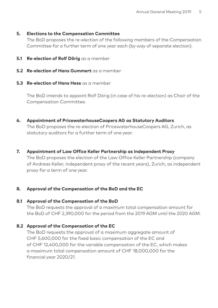#### **5. Elections to the Compensation Committee**

The BoD proposes the re-election of the following members of the Compensation Committee for a further term of one year each (by way of separate election):

- **5.1 Re-election of Rolf Dörig** as a member
- **5.2 Re-election of Hans Gummert** as a member
- **5.3 Re-election of Hans Hess** as a member

The BoD intends to appoint Rolf Dörig (in case of his re-election) as Chair of the Compensation Committee.

**6. Appointment of PricewaterhouseCoopers AG as Statutory Auditors**

The BoD proposes the re-election of PricewaterhouseCoopers AG, Zurich, as statutory auditors for a further term of one year.

**7. Appointment of Law Office Keller Partnership as Independent Proxy**

The BoD proposes the election of the Law Office Keller Partnership (company of Andreas Keller, independent proxy of the recent years), Zurich, as independent proxy for a term of one year.

#### **8. Approval of the Compensation of the BoD and the EC**

#### **8.1 Approval of the Compensation of the BoD**

The BoD requests the approval of a maximum total compensation amount for the BoD of CHF 2,390,000 for the period from the 2019 AGM until the 2020 AGM.

#### **8.2 Approval of the Compensation of the EC**

The BoD requests the approval of a maximum aggregate amount of CHF 5,600,000 for the fixed basic compensation of the EC and of CHF 12,400,000 for the variable compensation of the EC, which makes a maximum total compensation amount of CHF 18,000,000 for the financial year 2020/21.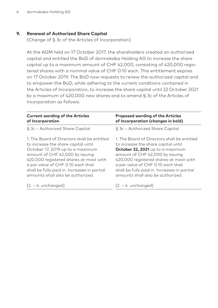#### **9. Renewal of Authorized Share Capital**

(Change of § 3c of the Articles of Incorporation)

At the AGM held on 17 October 2017, the shareholders created an authorized capital and entitled the BoD of dormakaba Holding AG to increase the share capital up to a maximum amount of CHF 42,000, consisting of 420,000 registered shares with a nominal value of CHF 0.10 each. This entitlement expires on 17 October 2019. The BoD now requests to renew the authorized capital and to empower the BoD, while adhering to the current conditions contained in the Articles of Incorporation, to increase the share capital until 22 October 2021 by a maximum of 420,000 new shares and to amend § 3c of the Articles of Incorporation as follows:

| <b>Current wording of the Articles</b>       | <b>Proposed wording of the Articles</b>      |  |  |
|----------------------------------------------|----------------------------------------------|--|--|
| of Incorporation                             | of Incorporation (changes in bold)           |  |  |
| § 3c - Authorized Share Capital              | § 3c - Authorized Share Capital              |  |  |
| 1. The Board of Directors shall be entitled  | 1. The Board of Directors shall be entitled  |  |  |
| to increase the share capital until          | to increase the share capital until          |  |  |
| October 17, 2019 up to a maximum             | October 22, 2021 up to a maximum             |  |  |
| amount of CHF 42,000 by issuing              | amount of CHF 42,000 by issuing              |  |  |
| 420,000 registered shares at most with       | 420,000 registered shares at most with       |  |  |
| a par value of CHF 0.10 each that            | a par value of CHF 0.10 each that            |  |  |
| shall be fully paid in. Increases in partial | shall be fully paid in. Increases in partial |  |  |
| amounts shall also be authorized             | amounts shall also be authorized.            |  |  |
| $[2. - 4.$ unchanged]                        | $[2. - 4.$ unchanged]                        |  |  |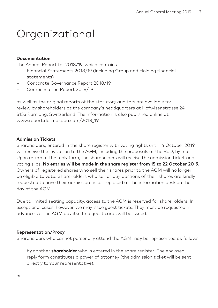### Organizational

#### **Documentation**

The Annual Report for 2018/19, which contains

- Financial Statements 2018/19 (including Group and Holding financial statements)
- Corporate Governance Report 2018/19
- Compensation Report 2018/19

as well as the original reports of the statutory auditors are available for review by shareholders at the company's headquarters at Hofwisenstrasse 24, 8153 Rümlang, Switzerland. The information is also published online at www.report.dormakaba.com/2018\_19.

#### **Admission Tickets**

Shareholders, entered in the share register with voting rights until 14 October 2019, will receive the invitation to the AGM, including the proposals of the BoD, by mail. Upon return of the reply form, the shareholders will receive the admission ticket and voting slips. **No entries will be made in the share register from 15 to 22 October 2019.**  Owners of registered shares who sell their shares prior to the AGM will no longer be eligible to vote. Shareholders who sell or buy portions of their shares are kindly requested to have their admission ticket replaced at the information desk on the day of the AGM.

Due to limited seating capacity, access to the AGM is reserved for shareholders. In exceptional cases, however, we may issue guest tickets. They must be requested in advance. At the AGM day itself no guest cards will be issued.

#### **Representation/Proxy**

Shareholders who cannot personally attend the AGM may be represented as follows:

– by another **shareholder** who is entered in the share register: The enclosed reply form constitutes a power of attorney (the admission ticket will be sent directly to your representative),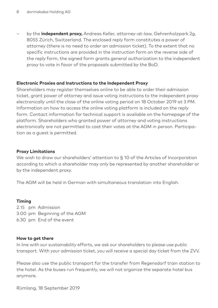– by the **independent proxy,** Andreas Keller, attorney-at-law, Gehrenholzpark 2g, 8055 Zürich, Switzerland. The enclosed reply form constitutes a power of attorney (there is no need to order an admission ticket). To the extent that no specific instructions are provided in the instruction form on the reverse side of the reply form, the signed form grants general authorization to the independent proxy to vote in favor of the proposals submitted by the BoD.

#### **Electronic Proxies and Instructions to the Independent Proxy**

Shareholders may register themselves online to be able to order their admission ticket, grant power of attorney and issue voting instructions to the independent proxy electronically until the close of the online voting period on 18 October 2019 at 3 PM. Information on how to access the online voting platform is included on the reply form. Contact information for technical support is available on the homepage of the platform. Shareholders who granted power of attorney and voting instructions electronically are not permitted to cast their votes at the AGM in person. Participation as a guest is permitted.

#### **Proxy Limitations**

We wish to draw our shareholders' attention to § 10 of the Articles of Incorporation according to which a shareholder may only be represented by another shareholder or by the independent proxy.

The AGM will be held in German with simultaneous translation into English.

#### **Timing**

2.15 pm Admission 3.00 pm Beginning of the AGM 6.30 pm End of the event

#### **How to get there**

In line with our sustainability efforts, we ask our shareholders to please use public transport. With your admission ticket, you will receive a special day ticket from the ZVV.

Please also use the public transport for the transfer from Regensdorf train station to the hotel. As the buses run frequently, we will not organize the separate hotel bus anymore.

Rümlang, 18 September 2019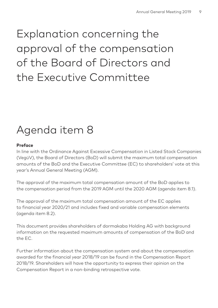### Explanation concerning the approval of the compensation of the Board of Directors and the Executive Committee

### Agenda item 8

#### **Preface**

In line with the Ordinance Against Excessive Compensation in Listed Stock Companies (VegüV), the Board of Directors (BoD) will submit the maximum total compensation amounts of the BoD and the Executive Committee (EC) to shareholders' vote at this year's Annual General Meeting (AGM).

The approval of the maximum total compensation amount of the BoD applies to the compensation period from the 2019 AGM until the 2020 AGM (agenda item 8.1).

The approval of the maximum total compensation amount of the EC applies to financial year 2020/21 and includes fixed and variable compensation elements (agenda item 8.2).

This document provides shareholders of dormakaba Holding AG with background information on the requested maximum amounts of compensation of the BoD and the EC.

Further information about the compensation system and about the compensation awarded for the financial year 2018/19 can be found in the Compensation Report 2018/19. Shareholders will have the opportunity to express their opinion on the Compensation Report in a non-binding retrospective vote.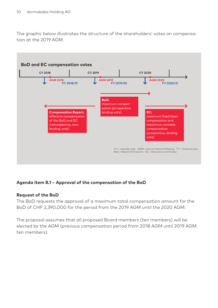The graphic below illustrates the structure of the shareholders' votes on compensation at the 2019 AGM.



#### **Agenda item 8.1 – Approval of the compensation of the BoD**

#### **Request of the BoD**

The BoD requests the approval of a maximum total compensation amount for the BoD of CHF 2,390,000 for the period from the 2019 AGM until the 2020 AGM.

The proposal assumes that all proposed Board members (ten members) will be elected by the AGM (previous compensation period from 2018 AGM until 2019 AGM: ten members).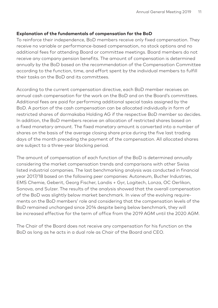#### **Explanation of the fundamentals of compensation for the BoD**

To reinforce their independence, BoD members receive only fixed compensation. They receive no variable or performance-based compensation, no stock options and no additional fees for attending Board or committee meetings. Board members do not receive any company pension benefits. The amount of compensation is determined annually by the BoD based on the recommendation of the Compensation Committee according to the function, time, and effort spent by the individual members to fulfill their tasks on the BoD and its committees.

According to the current compensation directive, each BoD member receives an annual cash compensation for the work on the BoD and on the Board's committees. Additional fees are paid for performing additional special tasks assigned by the BoD. A portion of the cash compensation can be allocated individually in form of restricted shares of dormakaba Holding AG if the respective BoD member so decides. In addition, the BoD members receive an allocation of restricted shares based on a fixed monetary amount. The fixed monetary amount is converted into a number of shares on the basis of the average closing share price during the five last trading days of the month preceding the payment of the compensation. All allocated shares are subject to a three-year blocking period.

The amount of compensation of each function of the BoD is determined annually considering the market compensation trends and comparisons with other Swiss listed industrial companies. The last benchmarking analysis was conducted in financial year 2017/18 based on the following peer companies: Autoneum, Bucher Industries, EMS Chemie, Geberit, Georg Fischer, Landis + Gyr, Logitech, Lonza, OC Oerlikon, Sonova, and Sulzer. The results of the analysis showed that the overall compensation of the BoD was slightly below market benchmark. In view of the evolving requirements on the BoD members' role and considering that the compensation levels of the BoD remained unchanged since 2014 despite being below benchmark, they will be increased effective for the term of office from the 2019 AGM until the 2020 AGM.

The Chair of the Board does not receive any compensation for his function on the BoD as long as he acts in a dual role as Chair of the Board and CEO.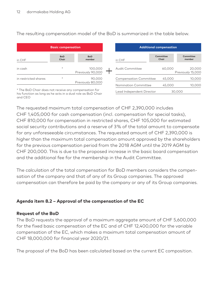The resulting compensation model of the BoD is summarized in the table below.

|                      | <b>Basic compensation</b> |                              |  |  |
|----------------------|---------------------------|------------------------------|--|--|
| in CHF               | <b>BoD</b><br>Chair       | <b>BoD</b><br>member         |  |  |
| in cash              | $\star$                   | 100,000<br>Previously 90,000 |  |  |
| in restricted shares | ÷                         | 90,000<br>Previously 80,000  |  |  |

| <b>Additional compensation</b> |                    |                             |  |  |
|--------------------------------|--------------------|-----------------------------|--|--|
| in CHF                         | Committee<br>Chair | Committee<br>member         |  |  |
| Audit Committee                | 60.000             | 20,000<br>Previously 15,000 |  |  |
| <b>Compensation Committee</b>  | 45.000             | 10,000                      |  |  |
| Nomination Committee           | 45.000             | 10.000                      |  |  |
| Lead Independent Director      |                    | 30.000                      |  |  |

\* The BoD Chair does not receive any compensation for his function as long as he acts in a dual role as BoD Chair and CEO

The requested maximum total compensation of CHF 2,390,000 includes CHF 1,405,000 for cash compensation (incl. compensation for special tasks), CHF 810,000 for compensation in restricted shares, CHF 105,000 for estimated social security contributions and a reserve of 3 % of the total amount to compensate for any unforeseeable circumstances. The requested amount of CHF 2,390,000 is higher than the maximum total compensation amount approved by the shareholders for the previous compensation period from the 2018 AGM until the 2019 AGM by CHF 200,000. This is due to the proposed increase in the basic board compensation and the additional fee for the membership in the Audit Committee.

The calculation of the total compensation for BoD members considers the compensation of the company and that of any of its Group companies. The approved compensation can therefore be paid by the company or any of its Group companies.

#### **Agenda item 8.2 – Approval of the compensation of the EC**

#### **Request of the BoD**

The BoD requests the approval of a maximum aggregate amount of CHF 5,600,000 for the fixed basic compensation of the EC and of CHF 12,400,000 for the variable compensation of the EC, which makes a maximum total compensation amount of CHF 18,000,000 for financial year 2020/21.

The proposal of the BoD has been calculated based on the current EC composition.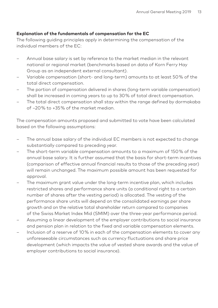#### **Explanation of the fundamentals of compensation for the EC**

The following guiding principles apply in determining the compensation of the individual members of the EC:

- Annual base salary is set by reference to the market median in the relevant national or regional market (benchmarks based on data of Korn Ferry Hay Group as an independent external consultant).
- Variable compensation (short- and long-term) amounts to at least 50 % of the total direct compensation.
- The portion of compensation delivered in shares (long-term variable compensation) shall be increased in coming years to up to 30 % of total direct compensation.
- The total direct compensation shall stay within the range defined by dormakaba of –20 % to +35 % of the market median.

The compensation amounts proposed and submitted to vote have been calculated based on the following assumptions:

- The annual base salary of the individual EC members is not expected to change substantially compared to preceding year.
- The short-term variable compensation amounts to a maximum of 150 % of the annual base salary. It is further assumed that the basis for short-term incentives (comparison of effective annual financial results to those of the preceding year) will remain unchanged. The maximum possible amount has been requested for approval.
- The maximum grant value under the long-term incentive plan, which includes restricted shares and performance share units (a conditional right to a certain number of shares after the vesting period) is allocated. The vesting of the performance share units will depend on the consolidated earnings per share growth and on the relative total shareholder return compared to companies of the Swiss Market Index Mid (SMIM) over the three-year performance period.
- Assuming a linear development of the employer contributions to social insurance and pension plan in relation to the fixed and variable compensation elements.
- Inclusion of a reserve of 10 % in each of the compensation elements to cover any unforeseeable circumstances such as currency fluctuations and share price development (which impacts the value of vested share awards and the value of employer contributions to social insurance).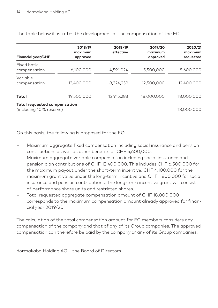| <b>Financial year/CHF</b>                                      | 2018/19<br>maximum<br>approved | 2018/19<br>effective | 2019/20<br>maximum<br>approved | 2020/21<br>maximum<br>requested |
|----------------------------------------------------------------|--------------------------------|----------------------|--------------------------------|---------------------------------|
| Fixed basic<br>compensation                                    | 6,100,000                      | 4,591,024            | 5,500,000                      | 5,600,000                       |
| Variable<br>compensation                                       | 13,400,000                     | 8,324,259            | 12,500,000                     | 12,400,000                      |
| Total                                                          | 19,500,000                     | 12,915,283           | 18,000,000                     | 18,000,000                      |
| <b>Total requested compensation</b><br>(including 10% reserve) |                                |                      |                                | 18,000,000                      |

The table below illustrates the development of the compensation of the EC:

On this basis, the following is proposed for the EC:

- Maximum aggregate fixed compensation including social insurance and pension contributions as well as other benefits of CHF 5,600,000.
- Maximum aggregate variable compensation including social insurance and pension plan contributions of CHF 12,400,000. This includes CHF 6,500,000 for the maximum payout under the short-term incentive, CHF 4,100,000 for the maximum grant value under the long-term incentive and CHF 1,800,000 for social insurance and pension contributions. The long-term incentive grant will consist of performance share units and restricted shares.
- Total requested aggregate compensation amount of CHF 18,000,000 corresponds to the maximum compensation amount already approved for financial year 2019/20.

The calculation of the total compensation amount for EC members considers any compensation of the company and that of any of its Group companies. The approved compensation can therefore be paid by the company or any of its Group companies.

dormakaba Holding AG – the Board of Directors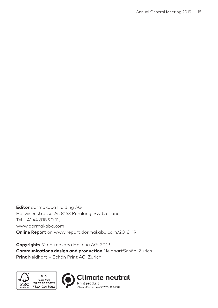**Editor** dormakaba Holding AG Hofwisenstrasse 24, 8153 Rümlang, Switzerland Tel. +41 44 818 90 11, www.dormakaba.com **Online Report** on www.report.dormakaba.com/2018\_19

**Copyrights** © dormakaba Holding AG, 2019 **Communications design and production** NeidhartSchön, Zurich **Print** Neidhart + Schön Print AG, Zurich